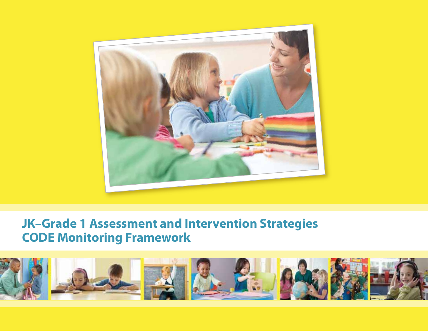

# **JK–Grade 1 Assessment and Intervention Strategies CODE Monitoring Framework**

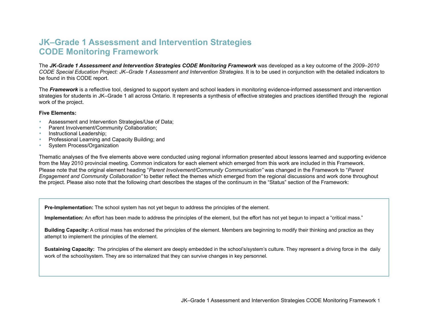# **JK–Grade 1 Assessment and Intervention Strategies CODE Monitoring Framework**

The *JK-Grade 1 Assessment and Intervention Strategies CODE Monitoring Framework* was developed as a key outcome of the *2009–2010 CODE Special Education Project: JK–Grade 1 Assessment and Intervention Strategies.* It is to be used in conjunction with the detailed indicators to be found in this CODE report.

The *Framework* is a reflective tool, designed to support system and school leaders in monitoring evidence-informed assessment and intervention strategies for students in JK–Grade 1 all across Ontario. It represents a synthesis of effective strategies and practices identified through the regional work of the project.

#### **Five Elements:**

- Assessment and Intervention Strategies/Use of Data;
- Parent Involvement/Community Collaboration:
- Instructional Leadership;
- Professional Learning and Capacity Building; and
- System Process/Organization

Thematic analyses of the five elements above were conducted using regional information presented about lessons learned and supporting evidence from the May 2010 provincial meeting. Common indicators for each element which emerged from this work are included in this Framework. Please note that the original element heading "*Parent Involvement/Community Communication"* was changed in the Framework to "*Parent Engagement and Community Collaboration"* to better reflect the themes which emerged from the regional discussions and work done throughout the project. Please also note that the following chart describes the stages of the continuum in the "Status" section of the Framework:

**Pre-Implementation:** The school system has not yet begun to address the principles of the element.

**Implementation:** An effort has been made to address the principles of the element, but the effort has not yet begun to impact a "critical mass."

**Building Capacity:** A critical mass has endorsed the principles of the element. Members are beginning to modify their thinking and practice as they attempt to implement the principles of the element.

**Sustaining Capacity:** The principles of the element are deeply embedded in the school's/system's culture. They represent a driving force in the daily work of the school/system. They are so internalized that they can survive changes in key personnel.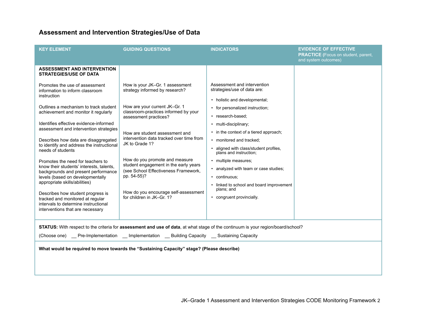## **Assessment and Intervention Strategies/Use of Data**

| <b>KEY ELEMENT</b>                                                                                                                                                                                                                                                                                                                                                                                                                                                                                                                                                                                                                                                                                                                                                                       | <b>GUIDING QUESTIONS</b>                                                                                                                                                                                                                                                                                                                                                                                                                                                   | <b>INDICATORS</b>                                                                                                                                                                                                                                                                                                                                                                                                                                                                               | <b>EVIDENCE OF EFFECTIVE</b><br><b>PRACTICE</b> (Focus on student, parent,<br>and system outcomes) |
|------------------------------------------------------------------------------------------------------------------------------------------------------------------------------------------------------------------------------------------------------------------------------------------------------------------------------------------------------------------------------------------------------------------------------------------------------------------------------------------------------------------------------------------------------------------------------------------------------------------------------------------------------------------------------------------------------------------------------------------------------------------------------------------|----------------------------------------------------------------------------------------------------------------------------------------------------------------------------------------------------------------------------------------------------------------------------------------------------------------------------------------------------------------------------------------------------------------------------------------------------------------------------|-------------------------------------------------------------------------------------------------------------------------------------------------------------------------------------------------------------------------------------------------------------------------------------------------------------------------------------------------------------------------------------------------------------------------------------------------------------------------------------------------|----------------------------------------------------------------------------------------------------|
| <b>ASSESSMENT AND INTERVENTION</b><br><b>STRATEGIES/USE OF DATA</b><br>Promotes the use of assessment<br>information to inform classroom<br>instruction<br>Outlines a mechanism to track student<br>achievement and monitor it regularly<br>Identifies effective evidence-informed<br>assessment and intervention strategies<br>Describes how data are disaggregated<br>to identify and address the instructional<br>needs of students<br>Promotes the need for teachers to<br>know their students' interests, talents,<br>backgrounds and present performance<br>levels (based on developmentally<br>appropriate skills/abilities)<br>Describes how student progress is<br>tracked and monitored at regular<br>intervals to determine instructional<br>interventions that are necessary | How is your JK-Gr. 1 assessment<br>strategy informed by research?<br>How are your current JK-Gr. 1<br>classroom-practices informed by your<br>assessment practices?<br>How are student assessment and<br>intervention data tracked over time from<br>JK to Grade 1?<br>How do you promote and measure<br>student engagement in the early years<br>(see School Effectiveness Framework,<br>pp. 54-55)?<br>How do you encourage self-assessment<br>for children in JK-Gr. 1? | Assessment and intervention<br>strategies/use of data are:<br>• holistic and developmental;<br>• for personalized instruction;<br>• research-based:<br>• multi-disciplinary;<br>• in the context of a tiered approach;<br>• monitored and tracked;<br>· aligned with class/student profiles,<br>plans and instruction;<br>• multiple measures;<br>• analyzed with team or case studies;<br>• continuous:<br>• linked to school and board improvement<br>plans; and<br>• congruent provincially. |                                                                                                    |
| STATUS: With respect to the criteria for assessment and use of data, at what stage of the continuum is your region/board/school?<br>_Pre-Implementation _ Implementation _ Building Capacity _ Sustaining Capacity<br>(Choose one)<br>What would be required to move towards the "Sustaining Capacity" stage? (Please describe)                                                                                                                                                                                                                                                                                                                                                                                                                                                          |                                                                                                                                                                                                                                                                                                                                                                                                                                                                            |                                                                                                                                                                                                                                                                                                                                                                                                                                                                                                 |                                                                                                    |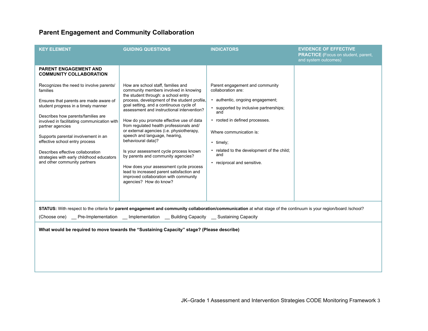## **Parent Engagement and Community Collaboration**

| <b>KEY ELEMENT</b>                                                                                                                                                                                                                                                    | <b>GUIDING QUESTIONS</b>                                                                                                                                                                                                               | <b>INDICATORS</b>                                                                         | <b>EVIDENCE OF EFFECTIVE</b><br><b>PRACTICE</b> (Focus on student, parent,<br>and system outcomes) |  |
|-----------------------------------------------------------------------------------------------------------------------------------------------------------------------------------------------------------------------------------------------------------------------|----------------------------------------------------------------------------------------------------------------------------------------------------------------------------------------------------------------------------------------|-------------------------------------------------------------------------------------------|----------------------------------------------------------------------------------------------------|--|
| <b>PARENT ENGAGEMENT AND</b><br><b>COMMUNITY COLLABORATION</b>                                                                                                                                                                                                        |                                                                                                                                                                                                                                        |                                                                                           |                                                                                                    |  |
| Recognizes the need to involve parents/<br>families<br>Ensures that parents are made aware of<br>student progress in a timely manner                                                                                                                                  | How are school staff, families and<br>community members involved in knowing<br>the student through: a school entry<br>process, development of the student profile,<br>goal setting, and a continuous cycle of                          | Parent engagement and community<br>collaboration are:<br>• authentic, ongoing engagement; |                                                                                                    |  |
| Describes how parents/families are<br>involved in facilitating communication with<br>partner agencies                                                                                                                                                                 | assessment and instructional intervention?<br>How do you promote effective use of data<br>from regulated health professionals and/                                                                                                     | • supported by inclusive partnerships;<br>and<br>• rooted in defined processes.           |                                                                                                    |  |
| Supports parental involvement in an<br>effective school entry process                                                                                                                                                                                                 | or external agencies (i.e. physiotherapy,<br>speech and language, hearing,<br>behavioural data)?                                                                                                                                       | Where communication is:<br>$\cdot$ timely;                                                |                                                                                                    |  |
| Describes effective collaboration<br>strategies with early childhood educators<br>and other community partners                                                                                                                                                        | Is your assessment cycle process known<br>by parents and community agencies?<br>How does your assessment cycle process<br>lead to increased parent satisfaction and<br>improved collaboration with community<br>agencies? How do know? | • related to the development of the child;<br>and<br>• reciprocal and sensitive.          |                                                                                                    |  |
|                                                                                                                                                                                                                                                                       |                                                                                                                                                                                                                                        |                                                                                           |                                                                                                    |  |
| STATUS: With respect to the criteria for parent engagement and community collaboration/communication at what stage of the continuum is your region/board /school?<br>(Choose one) __ Pre-Implementation __ Implementation __ Building Capacity __ Sustaining Capacity |                                                                                                                                                                                                                                        |                                                                                           |                                                                                                    |  |
| What would be required to move towards the "Sustaining Capacity" stage? (Please describe)                                                                                                                                                                             |                                                                                                                                                                                                                                        |                                                                                           |                                                                                                    |  |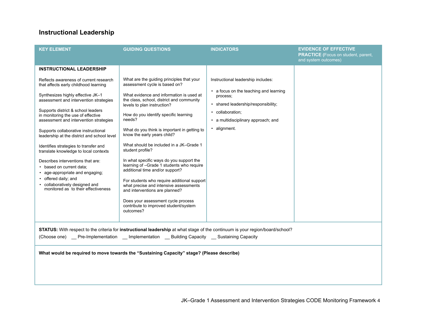#### **Instructional Leadership**

| <b>KEY ELEMENT</b>                                                                                                                                                                                                                                                                                                                                                                                                                                                                                                                                                                                                                                                 | <b>GUIDING QUESTIONS</b>                                                                                                                                                                                                                                                                                                                                                                                                                                                                                                                                                                                                                                                                                                                               | <b>INDICATORS</b>                                                                                                                                                                                          | <b>EVIDENCE OF EFFECTIVE</b>                                       |
|--------------------------------------------------------------------------------------------------------------------------------------------------------------------------------------------------------------------------------------------------------------------------------------------------------------------------------------------------------------------------------------------------------------------------------------------------------------------------------------------------------------------------------------------------------------------------------------------------------------------------------------------------------------------|--------------------------------------------------------------------------------------------------------------------------------------------------------------------------------------------------------------------------------------------------------------------------------------------------------------------------------------------------------------------------------------------------------------------------------------------------------------------------------------------------------------------------------------------------------------------------------------------------------------------------------------------------------------------------------------------------------------------------------------------------------|------------------------------------------------------------------------------------------------------------------------------------------------------------------------------------------------------------|--------------------------------------------------------------------|
|                                                                                                                                                                                                                                                                                                                                                                                                                                                                                                                                                                                                                                                                    |                                                                                                                                                                                                                                                                                                                                                                                                                                                                                                                                                                                                                                                                                                                                                        |                                                                                                                                                                                                            | <b>PRACTICE</b> (Focus on student, parent,<br>and system outcomes) |
| <b>INSTRUCTIONAL LEADERSHIP</b>                                                                                                                                                                                                                                                                                                                                                                                                                                                                                                                                                                                                                                    |                                                                                                                                                                                                                                                                                                                                                                                                                                                                                                                                                                                                                                                                                                                                                        |                                                                                                                                                                                                            |                                                                    |
| Reflects awareness of current research<br>that affects early childhood learning<br>Synthesizes highly effective JK-1<br>assessment and intervention strategies<br>Supports district & school leaders<br>in monitoring the use of effective<br>assessment and intervention strategies<br>Supports collaborative instructional<br>leadership at the district and school level<br>Identifies strategies to transfer and<br>translate knowledge to local contexts<br>Describes interventions that are:<br>• based on current data:<br>• age-appropriate and engaging;<br>• offered daily; and<br>• collaboratively designed and<br>monitored as to their effectiveness | What are the guiding principles that your<br>assessment cycle is based on?<br>What evidence and information is used at<br>the class, school, district and community<br>levels to plan instruction?<br>How do you identify specific learning<br>needs?<br>What do you think is important in getting to<br>know the early years child?<br>What should be included in a JK-Grade 1<br>student profile?<br>In what specific ways do you support the<br>learning of -Grade 1 students who require<br>additional time and/or support?<br>For students who require additional support<br>what precise and intensive assessments<br>and interventions are planned?<br>Does your assessment cycle process<br>contribute to improved student/system<br>outcomes? | Instructional leadership includes:<br>• a focus on the teaching and learning<br>process;<br>• shared leadership/responsibility;<br>• collaboration;<br>• a multidisciplinary approach; and<br>· alignment. |                                                                    |
| STATUS: With respect to the criteria for instructional leadership at what stage of the continuum is your region/board/school?<br>(Choose one) __ Pre-Implementation __ Implementation __ Building Capacity __ Sustaining Capacity                                                                                                                                                                                                                                                                                                                                                                                                                                  |                                                                                                                                                                                                                                                                                                                                                                                                                                                                                                                                                                                                                                                                                                                                                        |                                                                                                                                                                                                            |                                                                    |
| What would be required to move towards the "Sustaining Capacity" stage? (Please describe)                                                                                                                                                                                                                                                                                                                                                                                                                                                                                                                                                                          |                                                                                                                                                                                                                                                                                                                                                                                                                                                                                                                                                                                                                                                                                                                                                        |                                                                                                                                                                                                            |                                                                    |
|                                                                                                                                                                                                                                                                                                                                                                                                                                                                                                                                                                                                                                                                    |                                                                                                                                                                                                                                                                                                                                                                                                                                                                                                                                                                                                                                                                                                                                                        |                                                                                                                                                                                                            |                                                                    |
|                                                                                                                                                                                                                                                                                                                                                                                                                                                                                                                                                                                                                                                                    |                                                                                                                                                                                                                                                                                                                                                                                                                                                                                                                                                                                                                                                                                                                                                        |                                                                                                                                                                                                            |                                                                    |

JK–Grade 1 Assessment and Intervention Strategies CODE Monitoring Framework 4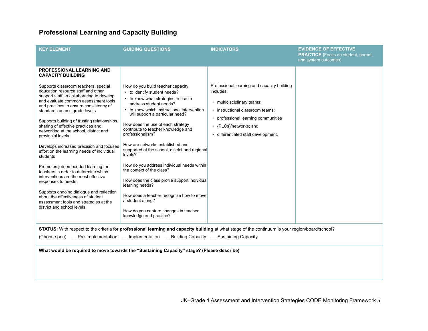## **Professional Learning and Capacity Building**

| <b>KEY ELEMENT</b>                                                                                                                                                                                                                                                                           | <b>GUIDING QUESTIONS</b>                                                                                                                                                                                                                       | <b>INDICATORS</b>                                                                                                                                                      | <b>EVIDENCE OF EFFECTIVE</b><br><b>PRACTICE</b> (Focus on student, parent,<br>and system outcomes) |  |
|----------------------------------------------------------------------------------------------------------------------------------------------------------------------------------------------------------------------------------------------------------------------------------------------|------------------------------------------------------------------------------------------------------------------------------------------------------------------------------------------------------------------------------------------------|------------------------------------------------------------------------------------------------------------------------------------------------------------------------|----------------------------------------------------------------------------------------------------|--|
| <b>PROFESSIONAL LEARNING AND</b><br><b>CAPACITY BUILDING</b><br>Supports classroom teachers, special<br>education resource staff and other                                                                                                                                                   | How do you build teacher capacity:<br>• to identify student needs?                                                                                                                                                                             | Professional learning and capacity building<br>includes:                                                                                                               |                                                                                                    |  |
| support staff in collaborating to develop<br>and evaluate common assessment tools<br>and practices to ensure consistency of<br>standards across grade levels<br>Supports building of trusting relationships,<br>sharing of effective practices and<br>networking at the school, district and | • to know what strategies to use to<br>address student needs?<br>• to know which instructional intervention<br>will support a particular need?<br>How does the use of each strategy<br>contribute to teacher knowledge and<br>professionalism? | • multidisciplinary teams;<br>· instructional classroom teams;<br>• professional learning communities<br>• (PLCs)/networks; and<br>· differentiated staff development. |                                                                                                    |  |
| provincial levels<br>Develops increased precision and focused<br>effort on the learning needs of individual<br>students                                                                                                                                                                      | How are networks established and<br>supported at the school, district and regional<br>levels?                                                                                                                                                  |                                                                                                                                                                        |                                                                                                    |  |
| Promotes job-embedded learning for<br>teachers in order to determine which<br>interventions are the most effective<br>responses to needs                                                                                                                                                     | How do you address individual needs within<br>the context of the class?<br>How does the class profile support individual<br>learning needs?                                                                                                    |                                                                                                                                                                        |                                                                                                    |  |
| Supports ongoing dialogue and reflection<br>about the effectiveness of student<br>assessment tools and strategies at the<br>district and school levels                                                                                                                                       | How does a teacher recognize how to move<br>a student along?<br>How do you capture changes in teacher<br>knowledge and practice?                                                                                                               |                                                                                                                                                                        |                                                                                                    |  |
| STATUS: With respect to the criteria for professional learning and capacity building at what stage of the continuum is your region/board/school?                                                                                                                                             |                                                                                                                                                                                                                                                |                                                                                                                                                                        |                                                                                                    |  |
| (Choose one)  __ Pre-Implementation  __ Implementation __ Building Capacity  __ Sustaining Capacity                                                                                                                                                                                          |                                                                                                                                                                                                                                                |                                                                                                                                                                        |                                                                                                    |  |
| What would be required to move towards the "Sustaining Capacity" stage? (Please describe)                                                                                                                                                                                                    |                                                                                                                                                                                                                                                |                                                                                                                                                                        |                                                                                                    |  |

JK–Grade 1 Assessment and Intervention Strategies CODE Monitoring Framework 5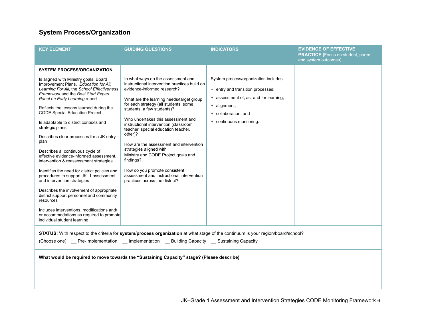## **System Process/Organization**

| <b>KEY ELEMENT</b>                                                                                                                                                                                                                                                                                                                                                                                                                                                                                                                                                                          | <b>GUIDING QUESTIONS</b>                                                                                                                                                                                                                                                                                                          | <b>INDICATORS</b>                                                                                                                                          | <b>EVIDENCE OF EFFECTIVE</b><br><b>PRACTICE</b> (Focus on student, parent,<br>and system outcomes) |
|---------------------------------------------------------------------------------------------------------------------------------------------------------------------------------------------------------------------------------------------------------------------------------------------------------------------------------------------------------------------------------------------------------------------------------------------------------------------------------------------------------------------------------------------------------------------------------------------|-----------------------------------------------------------------------------------------------------------------------------------------------------------------------------------------------------------------------------------------------------------------------------------------------------------------------------------|------------------------------------------------------------------------------------------------------------------------------------------------------------|----------------------------------------------------------------------------------------------------|
| <b>SYSTEM PROCESS/ORGANIZATION</b><br>Is aligned with Ministry goals, Board<br>Improvement Plans, Education for All,<br>Learning For All, the School Effectiveness<br>Framework and the Best Start Expert<br>Panel on Early Learning report<br>Reflects the lessons learned during the<br><b>CODE Special Education Project</b>                                                                                                                                                                                                                                                             | In what ways do the assessment and<br>instructional intervention practices build on<br>evidence-informed research?<br>What are the learning needs/target group<br>for each strategy (all students, some<br>students, a few students)?<br>Who undertakes this assessment and                                                       | System process/organization includes:<br>• entry and transition processes:<br>assessment of, as, and for learning;<br>· alignment;<br>• collaboration; and |                                                                                                    |
| Is adaptable to district contexts and<br>strategic plans<br>Describes clear processes for a JK entry<br>plan<br>Describes a continuous cycle of<br>effective evidence-informed assessment.<br>intervention & reassessment strategies<br>Identifies the need for district policies and<br>procedures to support JK-1 assessment<br>and intervention strategies<br>Describes the involvement of appropriate<br>district support personnel and community<br>resources<br>Includes interventions, modifications and/<br>or accommodations as required to promote<br>individual student learning | instructional intervention (classroom<br>teacher, special education teacher,<br>other)?<br>How are the assessment and intervention<br>strategies aligned with<br>Ministry and CODE Project goals and<br>findings?<br>How do you promote consistent<br>assessment and instructional intervention<br>practices across the district? | • continuous monitoring.                                                                                                                                   |                                                                                                    |
| STATUS: With respect to the criteria for system/process organization at what stage of the continuum is your region/board/school?<br>(Choose one) __ Pre-Implementation __ Implementation __ Building Capacity __ Sustaining Capacity                                                                                                                                                                                                                                                                                                                                                        |                                                                                                                                                                                                                                                                                                                                   |                                                                                                                                                            |                                                                                                    |
| What would be required to move towards the "Sustaining Capacity" stage? (Please describe)                                                                                                                                                                                                                                                                                                                                                                                                                                                                                                   |                                                                                                                                                                                                                                                                                                                                   |                                                                                                                                                            |                                                                                                    |

JK–Grade 1 Assessment and Intervention Strategies CODE Monitoring Framework 6